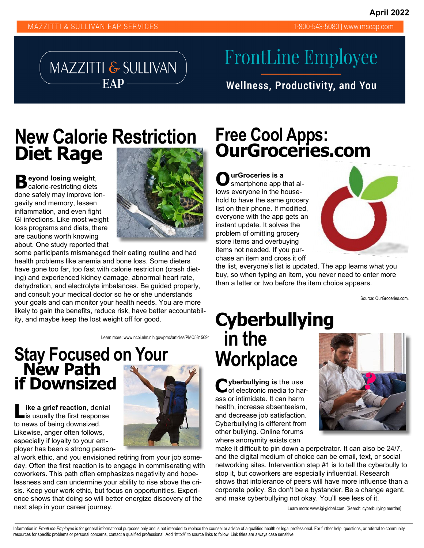1-800-543-5080 | www.mseap.com



# **FrontLine Employee**

**Wellness, Productivity, and You** 

## **New Calorie Restriction Free Cool Apps:**<br> **Diet Rage Calorie Restriction OurGroceries.com Diet Rage**

**B eyond losing weight**, calorie-restricting diets done safely may improve longevity and memory, lessen inflammation, and even fight GI infections. Like most weight loss programs and diets, there are cautions worth knowing about. One study reported that



some participants mismanaged their eating routine and had health problems like anemia and bone loss. Some dieters have gone too far, too fast with calorie restriction (crash dieting) and experienced kidney damage, abnormal heart rate, dehydration, and electrolyte imbalances. Be guided properly, and consult your medical doctor so he or she understands your goals and can monitor your health needs. You are more likely to gain the benefits, reduce risk, have better accountability, and maybe keep the lost weight off for good.

Learn more: www.ncbi.nlm.nih.gov/pmc/articles/PMC5315691

#### **Stay Focused on Your New Path if Downsized**

**ike a grief reaction**, denial is usually the first response to news of being downsized. Likewise, anger often follows, especially if loyalty to your employer has been a strong person-



al work ethic, and you envisioned retiring from your job someday. Often the first reaction is to engage in commiserating with coworkers. This path often emphasizes negativity and hopelessness and can undermine your ability to rise above the crisis. Keep your work ethic, but focus on opportunities. Experience shows that doing so will better energize discovery of the next step in your career journey.

**O urGroceries is a**  smartphone app that allows everyone in the household to have the same grocery list on their phone. If modified, everyone with the app gets an instant update. It solves the problem of omitting grocery store items and overbuying items not needed. If you purchase an item and cross it off



the list, everyone's list is updated. The app learns what you buy, so when typing an item, you never need to enter more than a letter or two before the item choice appears.

Source: OurGroceries.com.

## **Cyberbullying in the Workplace**

**C yberbullying is** the use of electronic media to harass or intimidate. It can harm health, increase absenteeism, and decrease job satisfaction. Cyberbullying is different from other bullying. Online forums where anonymity exists can



make it difficult to pin down a perpetrator. It can also be 24/7, and the digital medium of choice can be email, text, or social networking sites. Intervention step #1 is to tell the cyberbully to stop it, but coworkers are especially influential. Research shows that intolerance of peers will have more influence than a corporate policy. So don't be a bystander. Be a change agent, and make cyberbullying not okay. You'll see less of it.

Learn more: www.igi-global.com. [Search: cyberbullying merdan]

Information in FrontLine Employee is for general informational purposes only and is not intended to replace the counsel or advice of a qualified health or legal professional. For further help, questions, or referral to com resources for specific problems or personal concerns, contact a qualified professional. Add "http://" to source links to follow. Link titles are always case sensitive.